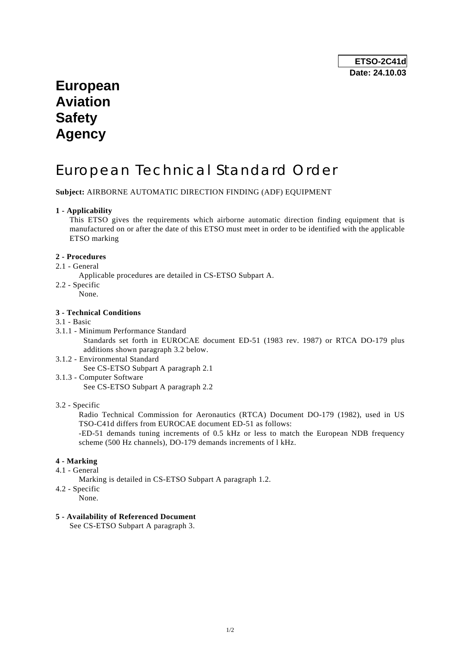## **European Aviation Safety Agency**

# European Technical Standard Order

**Subject:** AIRBORNE AUTOMATIC DIRECTION FINDING (ADF) EQUIPMENT

#### **1 - Applicability**

 This ETSO gives the requirements which airborne automatic direction finding equipment that is manufactured on or after the date of this ETSO must meet in order to be identified with the applicable ETSO marking

#### **2 - Procedures**

- 2.1 General
	- Applicable procedures are detailed in CS-ETSO Subpart A.
- 2.2 Specific
	- None.

#### **3 - Technical Conditions**

#### 3.1 - Basic

- 3.1.1 Minimum Performance Standard Standards set forth in EUROCAE document ED-51 (1983 rev. 1987) or RTCA DO-179 plus additions shown paragraph 3.2 below.
- 3.1.2 Environmental Standard See CS-ETSO Subpart A paragraph 2.1
- 3.1.3 Computer Software See CS-ETSO Subpart A paragraph 2.2
- 3.2 Specific

 Radio Technical Commission for Aeronautics (RTCA) Document DO-179 (1982), used in US TSO-C41d differs from EUROCAE document ED-51 as follows:

 -ED-51 demands tuning increments of 0.5 kHz or less to match the European NDB frequency scheme (500 Hz channels), DO-179 demands increments of l kHz.

#### **4 - Marking**

- 4.1 General
	- Marking is detailed in CS-ETSO Subpart A paragraph 1.2.
- 4.2 Specific
	- None.

#### **5 - Availability of Referenced Document**

See CS-ETSO Subpart A paragraph 3.